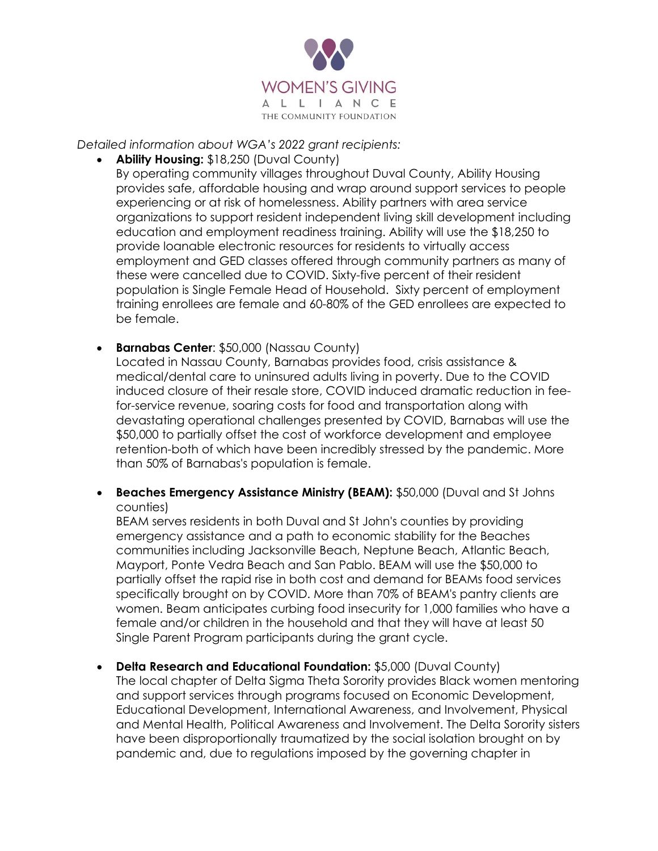

*Detailed information about WGA's 2022 grant recipients:* 

- **Ability Housing:** \$18,250 (Duval County) By operating community villages throughout Duval County, Ability Housing provides safe, affordable housing and wrap around support services to people experiencing or at risk of homelessness. Ability partners with area service organizations to support resident independent living skill development including education and employment readiness training. Ability will use the \$18,250 to provide loanable electronic resources for residents to virtually access employment and GED classes offered through community partners as many of these were cancelled due to COVID. Sixty-five percent of their resident population is Single Female Head of Household. Sixty percent of employment training enrollees are female and 60-80% of the GED enrollees are expected to be female.
- **Barnabas Center: \$50,000 (Nassau County)** Located in Nassau County, Barnabas provides food, crisis assistance & medical/dental care to uninsured adults living in poverty. Due to the COVID induced closure of their resale store, COVID induced dramatic reduction in feefor-service revenue, soaring costs for food and transportation along with devastating operational challenges presented by COVID, Barnabas will use the \$50,000 to partially offset the cost of workforce development and employee retention-both of which have been incredibly stressed by the pandemic. More than 50% of Barnabas's population is female.
- **Beaches Emergency Assistance Ministry (BEAM):** \$50,000 (Duval and St Johns counties)

BEAM serves residents in both Duval and St John's counties by providing emergency assistance and a path to economic stability for the Beaches communities including Jacksonville Beach, Neptune Beach, Atlantic Beach, Mayport, Ponte Vedra Beach and San Pablo. BEAM will use the \$50,000 to partially offset the rapid rise in both cost and demand for BEAMs food services specifically brought on by COVID. More than 70% of BEAM's pantry clients are women. Beam anticipates curbing food insecurity for 1,000 families who have a female and/or children in the household and that they will have at least 50 Single Parent Program participants during the grant cycle.

• **Delta Research and Educational Foundation:** \$5,000 (Duval County) The local chapter of Delta Sigma Theta Sorority provides Black women mentoring and support services through programs focused on Economic Development, Educational Development, International Awareness, and Involvement, Physical and Mental Health, Political Awareness and Involvement. The Delta Sorority sisters have been disproportionally traumatized by the social isolation brought on by pandemic and, due to regulations imposed by the governing chapter in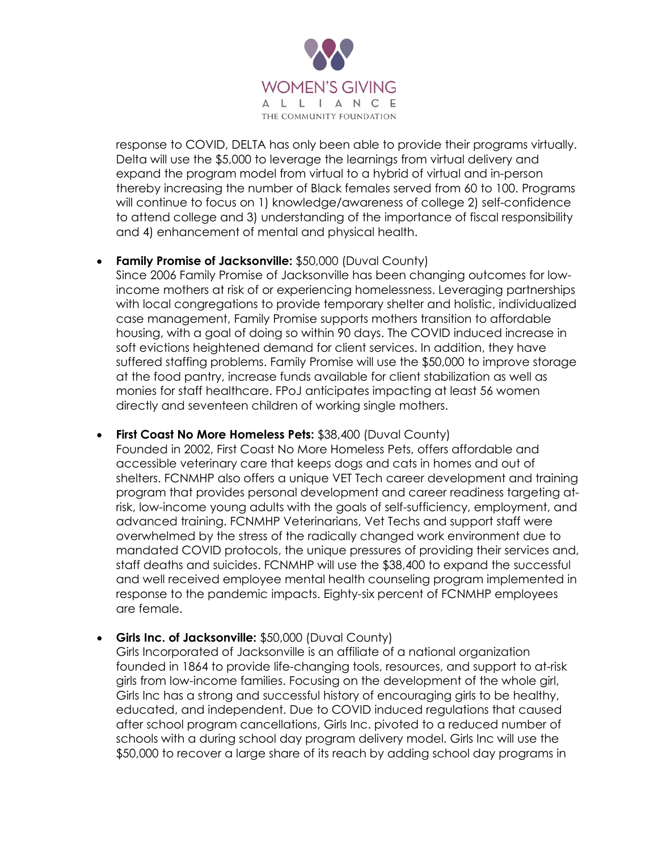

response to COVID, DELTA has only been able to provide their programs virtually. Delta will use the \$5,000 to leverage the learnings from virtual delivery and expand the program model from virtual to a hybrid of virtual and in-person thereby increasing the number of Black females served from 60 to 100. Programs will continue to focus on 1) knowledge/awareness of college 2) self-confidence to attend college and 3) understanding of the importance of fiscal responsibility and 4) enhancement of mental and physical health.

## • **Family Promise of Jacksonville:** \$50,000 (Duval County)

Since 2006 Family Promise of Jacksonville has been changing outcomes for lowincome mothers at risk of or experiencing homelessness. Leveraging partnerships with local congregations to provide temporary shelter and holistic, individualized case management, Family Promise supports mothers transition to affordable housing, with a goal of doing so within 90 days. The COVID induced increase in soft evictions heightened demand for client services. In addition, they have suffered staffing problems. Family Promise will use the \$50,000 to improve storage at the food pantry, increase funds available for client stabilization as well as monies for staff healthcare. FPoJ anticipates impacting at least 56 women directly and seventeen children of working single mothers.

## **First Coast No More Homeless Pets: \$38,400 (Duval County)**

Founded in 2002, First Coast No More Homeless Pets, offers affordable and accessible veterinary care that keeps dogs and cats in homes and out of shelters. FCNMHP also offers a unique VET Tech career development and training program that provides personal development and career readiness targeting atrisk, low-income young adults with the goals of self-sufficiency, employment, and advanced training. FCNMHP Veterinarians, Vet Techs and support staff were overwhelmed by the stress of the radically changed work environment due to mandated COVID protocols, the unique pressures of providing their services and, staff deaths and suicides. FCNMHP will use the \$38,400 to expand the successful and well received employee mental health counseling program implemented in response to the pandemic impacts. Eighty-six percent of FCNMHP employees are female.

## • **Girls Inc. of Jacksonville:** \$50,000 (Duval County)

Girls Incorporated of Jacksonville is an affiliate of a national organization founded in 1864 to provide life-changing tools, resources, and support to at-risk girls from low-income families. Focusing on the development of the whole girl, Girls Inc has a strong and successful history of encouraging girls to be healthy, educated, and independent. Due to COVID induced regulations that caused after school program cancellations, Girls Inc. pivoted to a reduced number of schools with a during school day program delivery model. Girls Inc will use the \$50,000 to recover a large share of its reach by adding school day programs in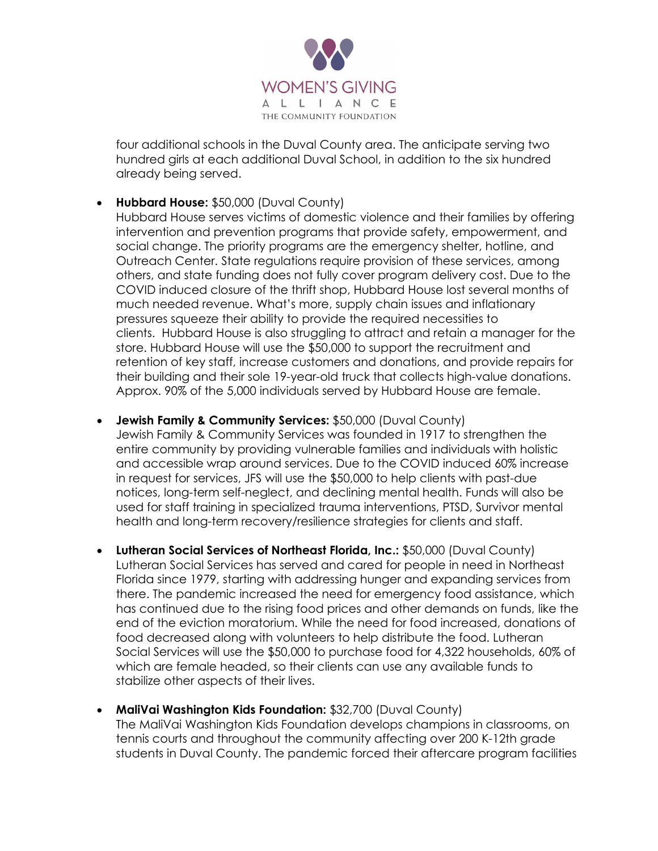

four additional schools in the Duval County area. The anticipate serving two hundred girls at each additional Duval School, in addition to the six hundred already being served.

• **Hubbard House:** \$50,000 (Duval County)

Hubbard House serves victims of domestic violence and their families by offering intervention and prevention programs that provide safety, empowerment, and social change. The priority programs are the emergency shelter, hotline, and Outreach Center. State regulations require provision of these services, among others, and state funding does not fully cover program delivery cost. Due to the COVID induced closure of the thrift shop, Hubbard House lost several months of much needed revenue. What's more, supply chain issues and inflationary pressures squeeze their ability to provide the required necessities to clients. Hubbard House is also struggling to attract and retain a manager for the store. Hubbard House will use the \$50,000 to support the recruitment and retention of key staff, increase customers and donations, and provide repairs for their building and their sole 19-year-old truck that collects high-value donations. Approx. 90% of the 5,000 individuals served by Hubbard House are female.

- **Jewish Family & Community Services:** \$50,000 (Duval County) Jewish Family & Community Services was founded in 1917 to strengthen the entire community by providing vulnerable families and individuals with holistic and accessible wrap around services. Due to the COVID induced 60% increase in request for services, JFS will use the \$50,000 to help clients with past-due notices, long-term self-neglect, and declining mental health. Funds will also be used for staff training in specialized trauma interventions, PTSD, Survivor mental health and long-term recovery/resilience strategies for clients and staff.
- **Lutheran Social Services of Northeast Florida, Inc.:** \$50,000 (Duval County) Lutheran Social Services has served and cared for people in need in Northeast Florida since 1979, starting with addressing hunger and expanding services from there. The pandemic increased the need for emergency food assistance, which has continued due to the rising food prices and other demands on funds, like the end of the eviction moratorium. While the need for food increased, donations of food decreased along with volunteers to help distribute the food. Lutheran Social Services will use the \$50,000 to purchase food for 4,322 households, 60% of which are female headed, so their clients can use any available funds to stabilize other aspects of their lives.
- **MaliVai Washington Kids Foundation:** \$32,700 (Duval County) The MaliVai Washington Kids Foundation develops champions in classrooms, on tennis courts and throughout the community affecting over 200 K-12th grade students in Duval County. The pandemic forced their aftercare program facilities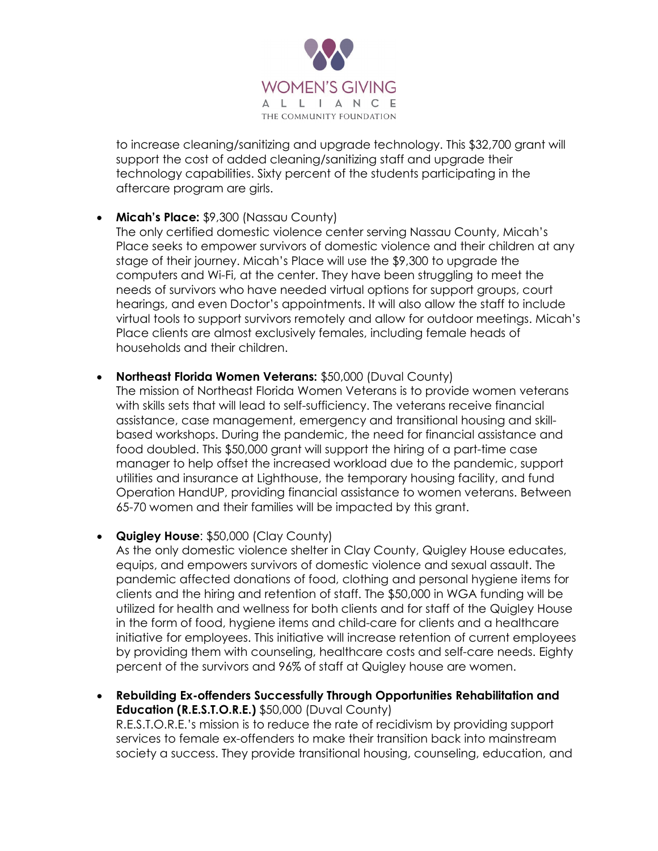

to increase cleaning/sanitizing and upgrade technology. This \$32,700 grant will support the cost of added cleaning/sanitizing staff and upgrade their technology capabilities. Sixty percent of the students participating in the aftercare program are girls.

• **Micah's Place:** \$9,300 (Nassau County)

The only certified domestic violence center serving Nassau County, Micah's Place seeks to empower survivors of domestic violence and their children at any stage of their journey. Micah's Place will use the \$9,300 to upgrade the computers and Wi-Fi, at the center. They have been struggling to meet the needs of survivors who have needed virtual options for support groups, court hearings, and even Doctor's appointments. It will also allow the staff to include virtual tools to support survivors remotely and allow for outdoor meetings. Micah's Place clients are almost exclusively females, including female heads of households and their children.

**Northeast Florida Women Veterans: \$50,000 (Duval County)** 

The mission of Northeast Florida Women Veterans is to provide women veterans with skills sets that will lead to self-sufficiency. The veterans receive financial assistance, case management, emergency and transitional housing and skillbased workshops. During the pandemic, the need for financial assistance and food doubled. This \$50,000 grant will support the hiring of a part-time case manager to help offset the increased workload due to the pandemic, support utilities and insurance at Lighthouse, the temporary housing facility, and fund Operation HandUP, providing financial assistance to women veterans. Between 65-70 women and their families will be impacted by this grant.

• **Quigley House**: \$50,000 (Clay County)

As the only domestic violence shelter in Clay County, Quigley House educates, equips, and empowers survivors of domestic violence and sexual assault. The pandemic affected donations of food, clothing and personal hygiene items for clients and the hiring and retention of staff. The \$50,000 in WGA funding will be utilized for health and wellness for both clients and for staff of the Quigley House in the form of food, hygiene items and child-care for clients and a healthcare initiative for employees. This initiative will increase retention of current employees by providing them with counseling, healthcare costs and self-care needs. Eighty percent of the survivors and 96% of staff at Quigley house are women.

• **Rebuilding Ex-offenders Successfully Through Opportunities Rehabilitation and Education (R.E.S.T.O.R.E.)** \$50,000 (Duval County) R.E.S.T.O.R.E.'s mission is to reduce the rate of recidivism by providing support services to female ex-offenders to make their transition back into mainstream society a success. They provide transitional housing, counseling, education, and